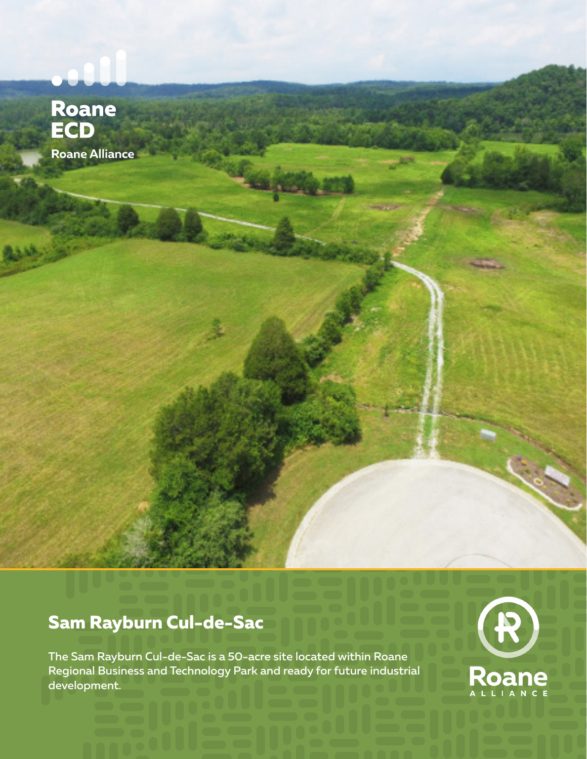# Roane<br>ECD Roane Alliance

### **Sam Rayburn Cul-de-Sac**

The Sam Rayburn Cul-de-Sac is a 50-acre site located within Roane Regional Business and Technology Park and ready for future industrial development.